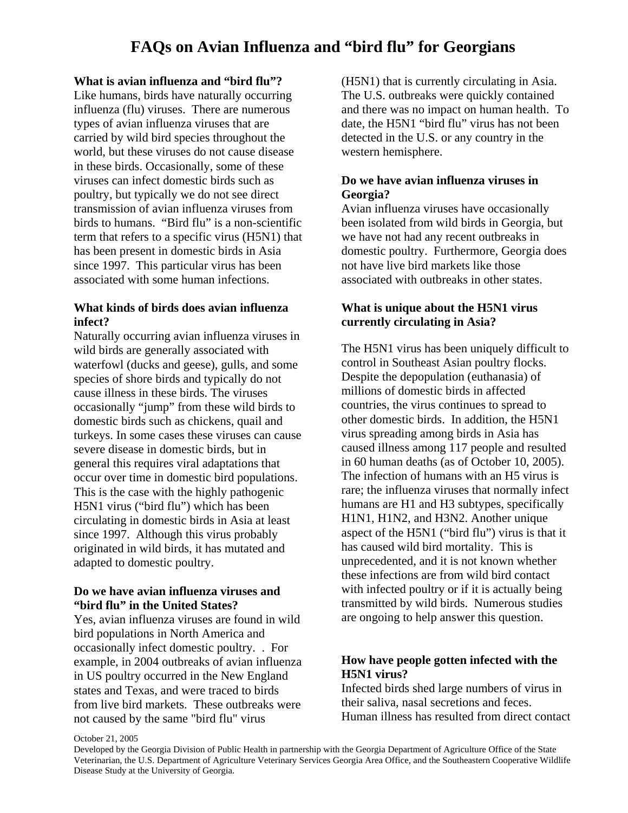# **What is avian influenza and "bird flu"?**

Like humans, birds have naturally occurring influenza (flu) viruses. There are numerous types of avian influenza viruses that are carried by wild bird species throughout the world, but these viruses do not cause disease in these birds. Occasionally, some of these viruses can infect domestic birds such as poultry, but typically we do not see direct transmission of avian influenza viruses from birds to humans. "Bird flu" is a non-scientific term that refers to a specific virus (H5N1) that has been present in domestic birds in Asia since 1997. This particular virus has been associated with some human infections.

# **What kinds of birds does avian influenza infect?**

Naturally occurring avian influenza viruses in wild birds are generally associated with waterfowl (ducks and geese), gulls, and some species of shore birds and typically do not cause illness in these birds. The viruses occasionally "jump" from these wild birds to domestic birds such as chickens, quail and turkeys. In some cases these viruses can cause severe disease in domestic birds, but in general this requires viral adaptations that occur over time in domestic bird populations. This is the case with the highly pathogenic H5N1 virus ("bird flu") which has been circulating in domestic birds in Asia at least since 1997. Although this virus probably originated in wild birds, it has mutated and adapted to domestic poultry.

### **Do we have avian influenza viruses and "bird flu" in the United States?**

Yes, avian influenza viruses are found in wild bird populations in North America and occasionally infect domestic poultry. . For example, in 2004 outbreaks of avian influenza in US poultry occurred in the New England states and Texas, and were traced to birds from live bird markets. These outbreaks were not caused by the same "bird flu" virus

(H5N1) that is currently circulating in Asia. The U.S. outbreaks were quickly contained and there was no impact on human health. To date, the H5N1 "bird flu" virus has not been detected in the U.S. or any country in the western hemisphere.

# **Do we have avian influenza viruses in Georgia?**

Avian influenza viruses have occasionally been isolated from wild birds in Georgia, but we have not had any recent outbreaks in domestic poultry. Furthermore, Georgia does not have live bird markets like those associated with outbreaks in other states.

# **What is unique about the H5N1 virus currently circulating in Asia?**

The H5N1 virus has been uniquely difficult to control in Southeast Asian poultry flocks. Despite the depopulation (euthanasia) of millions of domestic birds in affected countries, the virus continues to spread to other domestic birds. In addition, the H5N1 virus spreading among birds in Asia has caused illness among 117 people and resulted in 60 human deaths (as of October 10, 2005). The infection of humans with an H5 virus is rare; the influenza viruses that normally infect humans are H1 and H3 subtypes, specifically H1N1, H1N2, and H3N2. Another unique aspect of the H5N1 ("bird flu") virus is that it has caused wild bird mortality. This is unprecedented, and it is not known whether these infections are from wild bird contact with infected poultry or if it is actually being transmitted by wild birds. Numerous studies are ongoing to help answer this question.

# **How have people gotten infected with the H5N1 virus?**

Infected birds shed large numbers of virus in their saliva, nasal secretions and feces. Human illness has resulted from direct contact

#### October 21, 2005

Developed by the Georgia Division of Public Health in partnership with the Georgia Department of Agriculture Office of the State Veterinarian, the U.S. Department of Agriculture Veterinary Services Georgia Area Office, and the Southeastern Cooperative Wildlife Disease Study at the University of Georgia.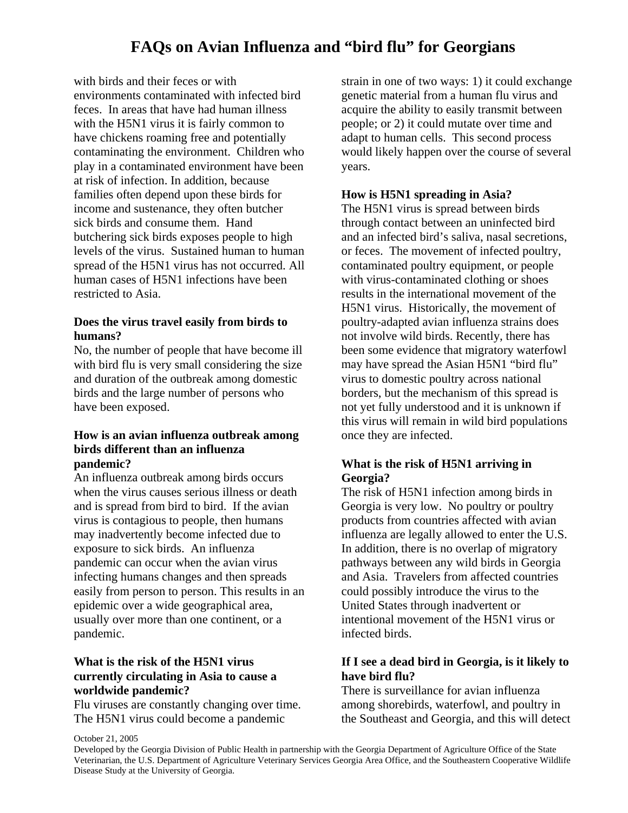# **FAQs on Avian Influenza and "bird flu" for Georgians**

with birds and their feces or with environments contaminated with infected bird feces. In areas that have had human illness with the H5N1 virus it is fairly common to have chickens roaming free and potentially contaminating the environment. Children who play in a contaminated environment have been at risk of infection. In addition, because families often depend upon these birds for income and sustenance, they often butcher sick birds and consume them. Hand butchering sick birds exposes people to high levels of the virus. Sustained human to human spread of the H5N1 virus has not occurred. All human cases of H5N1 infections have been restricted to Asia.

#### **Does the virus travel easily from birds to humans?**

No, the number of people that have become ill with bird flu is very small considering the size and duration of the outbreak among domestic birds and the large number of persons who have been exposed.

### **How is an avian influenza outbreak among birds different than an influenza pandemic?**

An influenza outbreak among birds occurs when the virus causes serious illness or death and is spread from bird to bird. If the avian virus is contagious to people, then humans may inadvertently become infected due to exposure to sick birds. An influenza pandemic can occur when the avian virus infecting humans changes and then spreads easily from person to person. This results in an epidemic over a wide geographical area, usually over more than one continent, or a pandemic.

# **What is the risk of the H5N1 virus currently circulating in Asia to cause a worldwide pandemic?**

Flu viruses are constantly changing over time. The H5N1 virus could become a pandemic

strain in one of two ways: 1) it could exchange genetic material from a human flu virus and acquire the ability to easily transmit between people; or 2) it could mutate over time and adapt to human cells. This second process would likely happen over the course of several years.

#### **How is H5N1 spreading in Asia?**

The H5N1 virus is spread between birds through contact between an uninfected bird and an infected bird's saliva, nasal secretions, or feces. The movement of infected poultry, contaminated poultry equipment, or people with virus-contaminated clothing or shoes results in the international movement of the H5N1 virus. Historically, the movement of poultry-adapted avian influenza strains does not involve wild birds. Recently, there has been some evidence that migratory waterfowl may have spread the Asian H5N1 "bird flu" virus to domestic poultry across national borders, but the mechanism of this spread is not yet fully understood and it is unknown if this virus will remain in wild bird populations once they are infected.

# **What is the risk of H5N1 arriving in Georgia?**

The risk of H5N1 infection among birds in Georgia is very low. No poultry or poultry products from countries affected with avian influenza are legally allowed to enter the U.S. In addition, there is no overlap of migratory pathways between any wild birds in Georgia and Asia. Travelers from affected countries could possibly introduce the virus to the United States through inadvertent or intentional movement of the H5N1 virus or infected birds.

# **If I see a dead bird in Georgia, is it likely to have bird flu?**

There is surveillance for avian influenza among shorebirds, waterfowl, and poultry in the Southeast and Georgia, and this will detect

#### October 21, 2005

Developed by the Georgia Division of Public Health in partnership with the Georgia Department of Agriculture Office of the State Veterinarian, the U.S. Department of Agriculture Veterinary Services Georgia Area Office, and the Southeastern Cooperative Wildlife Disease Study at the University of Georgia.